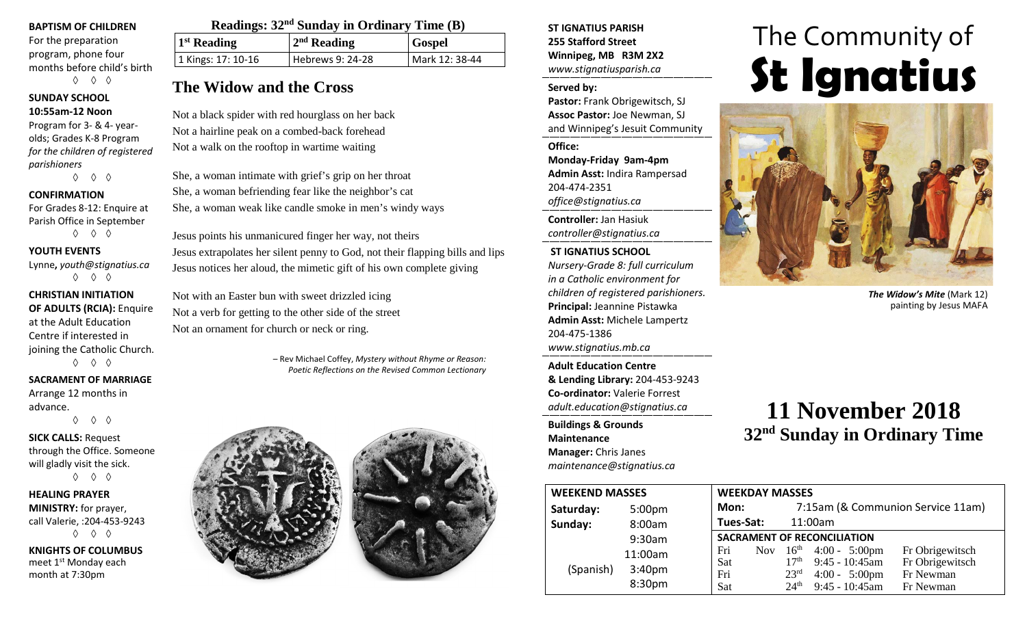#### **BAPTISM OF CHILDREN**

For the preparation program, phone four months before child's birth ◊ ◊ ◊

#### **SUNDAY SCHOOL 10:55am-12 Noon**

Program for 3- & 4- yearolds; Grades K-8 Program *for the children of registered parishioners*

◊ ◊ ◊

#### **CONFIRMATION**

For Grades 8-12: Enquire at Parish Office in September ◊ ◊ ◊

#### **YOUTH EVENTS**

Lynne**,** *youth@stignatius.ca* ◊ ◊ ◊

### **CHRISTIAN INITIATION OF ADULTS (RCIA):** Enquire

at the Adult Education Centre if interested in joining the Catholic Church.

◊ ◊ ◊

#### **SACRAMENT OF MARRIAGE**

Arrange 12 months in advance.

◊ ◊ ◊

**SICK CALLS:** Request through the Office. Someone will gladly visit the sick. ◊ ◊ ◊

**HEALING PRAYER MINISTRY:** for prayer, call Valerie, :204-453-9243 ◊ ◊ ◊

**KNIGHTS OF COLUMBUS** meet 1st Monday each month at 7:30pm

| Readings: 32 <sup>nd</sup> Sunday in Ordinary Time (B) |                  |                |  |  |  |
|--------------------------------------------------------|------------------|----------------|--|--|--|
| $1st$ Reading                                          | $2nd$ Reading    | <b>Gospel</b>  |  |  |  |
| 1 Kings: 17: 10-16                                     | Hebrews 9: 24-28 | Mark 12: 38-44 |  |  |  |

# **The Widow and the Cross**

Not a black spider with red hourglass on her back Not a hairline peak on a combed-back forehead Not a walk on the rooftop in wartime waiting

She, a woman intimate with grief's grip on her throat She, a woman befriending fear like the neighbor's cat She, a woman weak like candle smoke in men's windy ways

Jesus points his unmanicured finger her way, not theirs Jesus extrapolates her silent penny to God, not their flapping bills and lips Jesus notices her aloud, the mimetic gift of his own complete giving

Not with an Easter bun with sweet drizzled icing Not a verb for getting to the other side of the street Not an ornament for church or neck or ring.

> – Rev Michael Coffey, *Mystery without Rhyme or Reason: Poetic Reflections on the Revised Common Lectionary*



**ST IGNATIUS PARISH 255 Stafford Street Winnipeg, MB R3M 2X2** *www.stignatiusparish.ca*

#### **Served by:**

**Pastor:** Frank Obrigewitsch, SJ **Assoc Pastor:** Joe Newman, SJ and Winnipeg's Jesuit Community

**Office:**

**Monday-Friday 9am-4pm Admin Asst:** Indira Rampersad 204-474-2351 *office@stignatius.ca*

**Controller:** Jan Hasiuk *controller@stignatius.ca*

#### **ST IGNATIUS SCHOOL**

*Nursery-Grade 8: full curriculum in a Catholic environment for children of registered parishioners.* **Principal:** Jeannine Pistawka **Admin Asst:** Michele Lampertz 204-475-1386 *www.stignatius.mb.ca*

**Adult Education Centre & Lending Library:** 204-453-9243 **Co-ordinator:** Valerie Forrest *adult.education@stignatius.ca*

**Buildings & Grounds Maintenance Manager:** Chris Janes *maintenance@stignatius.ca*

# The Community of **St Ignatius**



*The Widow's Mite* (Mark 12) painting by Jesus MAFA

# **11 November 2018 32nd Sunday in Ordinary Time**

| <b>WEEKEND MASSES</b> |                    | <b>WEEKDAY MASSES</b>              |                  |                                    |                                   |
|-----------------------|--------------------|------------------------------------|------------------|------------------------------------|-----------------------------------|
| Saturday:             | 5:00 <sub>pm</sub> | Mon:                               |                  |                                    | 7:15am (& Communion Service 11am) |
| Sunday:               | 8:00am             | Tues-Sat:                          |                  | 11:00am                            |                                   |
|                       | 9:30am             | <b>SACRAMENT OF RECONCILIATION</b> |                  |                                    |                                   |
|                       | 11:00am            | Fri                                |                  | Nov $16^{\text{th}}$ 4:00 - 5:00pm | Fr Obrigewitsch                   |
| (Spanish)             | 3:40 <sub>pm</sub> | Sat                                |                  | $17th$ 9:45 - 10:45am              | Fr Obrigewitsch                   |
|                       |                    | Fri                                | 23 <sup>rd</sup> | $4:00 - 5:00 \text{pm}$            | Fr Newman                         |
|                       | 8:30pm             | Sat                                | $24^{\text{th}}$ | $9:45 - 10:45$ am                  | Fr Newman                         |